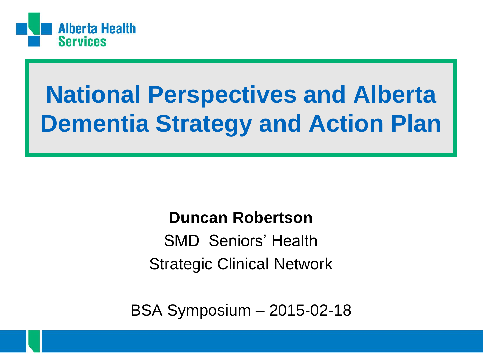

### **National Perspectives and Alberta Dementia Strategy and Action Plan**

### **Duncan Robertson**

SMD Seniors' Health Strategic Clinical Network

BSA Symposium – 2015-02-18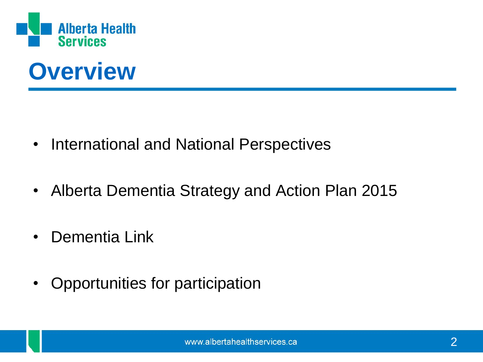



- International and National Perspectives
- Alberta Dementia Strategy and Action Plan 2015
- Dementia Link
- Opportunities for participation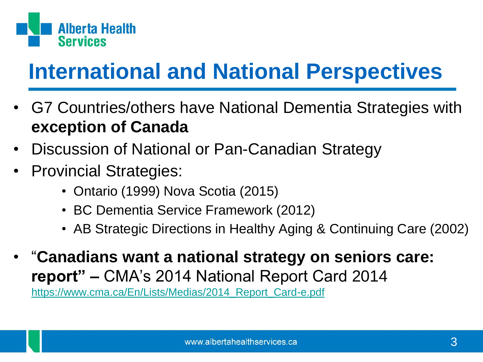

### **International and National Perspectives**

- G7 Countries/others have National Dementia Strategies with **exception of Canada**
- Discussion of National or Pan-Canadian Strategy
- Provincial Strategies:
	- Ontario (1999) Nova Scotia (2015)
	- BC Dementia Service Framework (2012)
	- AB Strategic Directions in Healthy Aging & Continuing Care (2002)
- "**Canadians want a national strategy on seniors care: report" –** CMA's 2014 National Report Card 2014 [https://www.cma.ca/En/Lists/Medias/2014\\_Report\\_Card-e.pdf](https://www.cma.ca/En/Lists/Medias/2014_Report_Card-e.pdf)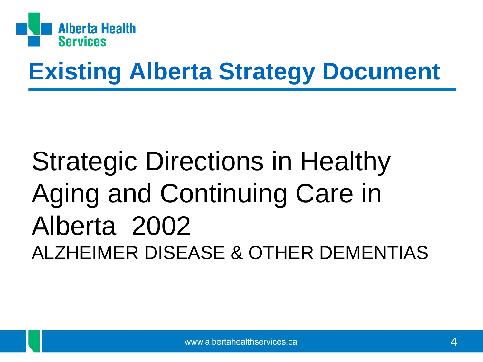

### **Existing Alberta Strategy Document**

## Strategic Directions in Healthy Aging and Continuing Care in Alberta 2002 ALZHEIMER DISEASE & OTHER DEMENTIAS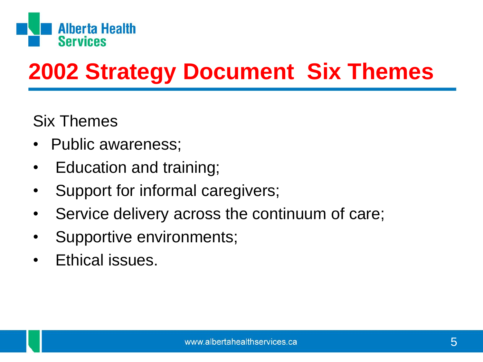

### **2002 Strategy Document Six Themes**

Six Themes

- Public awareness;
- Education and training;
- Support for informal caregivers;
- Service delivery across the continuum of care;
- Supportive environments;
- Ethical issues.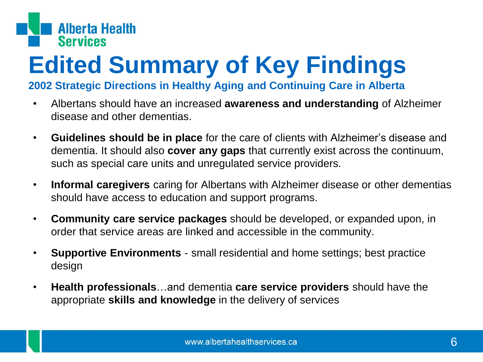

# **Edited Summary of Key Findings**

#### **2002 Strategic Directions in Healthy Aging and Continuing Care in Alberta**

- Albertans should have an increased **awareness and understanding** of Alzheimer disease and other dementias.
- **Guidelines should be in place** for the care of clients with Alzheimer's disease and dementia. It should also **cover any gaps** that currently exist across the continuum, such as special care units and unregulated service providers.
- **Informal caregivers** caring for Albertans with Alzheimer disease or other dementias should have access to education and support programs.
- **Community care service packages** should be developed, or expanded upon, in order that service areas are linked and accessible in the community.
- **Supportive Environments**  small residential and home settings; best practice design
- **Health professionals**…and dementia **care service providers** should have the appropriate **skills and knowledge** in the delivery of services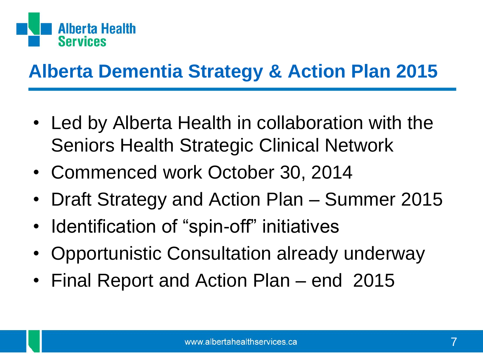

### **Alberta Dementia Strategy & Action Plan 2015**

- Led by Alberta Health in collaboration with the Seniors Health Strategic Clinical Network
- Commenced work October 30, 2014
- Draft Strategy and Action Plan Summer 2015
- Identification of "spin-off" initiatives
- Opportunistic Consultation already underway
- Final Report and Action Plan end 2015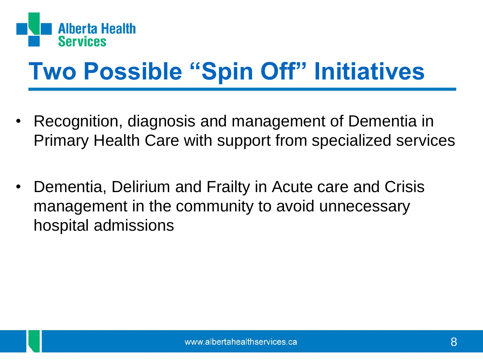

## **Two Possible "Spin Off" Initiatives**

- Recognition, diagnosis and management of Dementia in Primary Health Care with support from specialized services
- Dementia, Delirium and Frailty in Acute care and Crisis management in the community to avoid unnecessary hospital admissions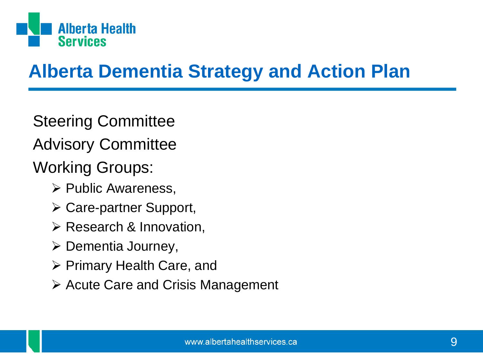

### **Alberta Dementia Strategy and Action Plan**

Steering Committee Advisory Committee Working Groups:

- $\triangleright$  Public Awareness,
- Care-partner Support,
- $\triangleright$  Research & Innovation,
- $\triangleright$  Dementia Journey,
- $\triangleright$  Primary Health Care, and
- $\triangleright$  Acute Care and Crisis Management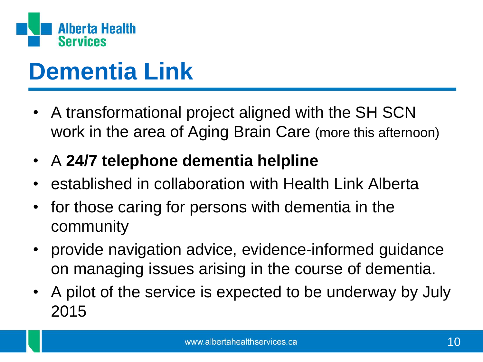

### **Dementia Link**

- A transformational project aligned with the SH SCN work in the area of Aging Brain Care (more this afternoon)
- A **24/7 telephone dementia helpline**
- established in collaboration with Health Link Alberta
- for those caring for persons with dementia in the community
- provide navigation advice, evidence-informed guidance on managing issues arising in the course of dementia.
- A pilot of the service is expected to be underway by July 2015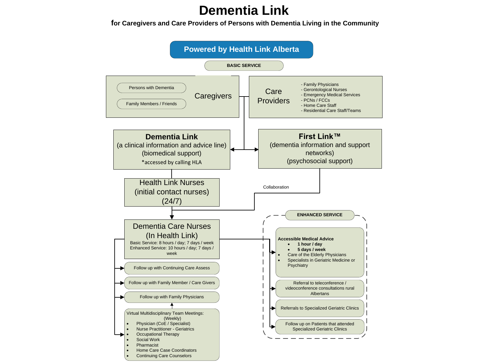#### **Dementia Link**

**for Caregivers and Care Providers of Persons with Dementia Living in the Community**